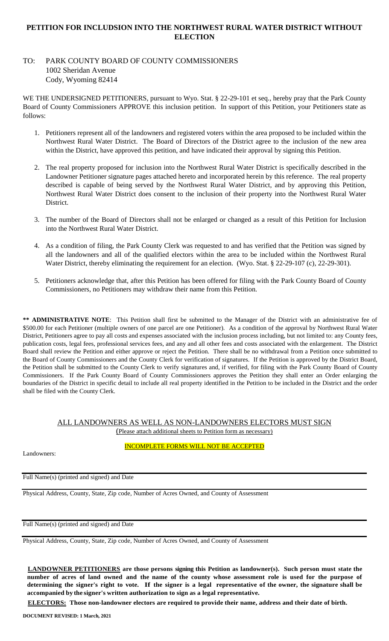## **PETITION FOR INCLUDSION INTO THE NORTHWEST RURAL WATER DISTRICT WITHOUT ELECTION**

# TO: PARK COUNTY BOARD OF COUNTY COMMISSIONERS 1002 Sheridan Avenue Cody, Wyoming 82414

WE THE UNDERSIGNED PETITIONERS, pursuant to Wyo. Stat. § 22-29-101 et seq., hereby pray that the Park County Board of County Commissioners APPROVE this inclusion petition. In support of this Petition, your Petitioners state as follows:

- 1. Petitioners represent all of the landowners and registered voters within the area proposed to be included within the Northwest Rural Water District. The Board of Directors of the District agree to the inclusion of the new area within the District, have approved this petition, and have indicated their approval by signing this Petition.
- 2. The real property proposed for inclusion into the Northwest Rural Water District is specifically described in the Landowner Petitioner signature pages attached hereto and incorporated herein by this reference. The real property described is capable of being served by the Northwest Rural Water District, and by approving this Petition, Northwest Rural Water District does consent to the inclusion of their property into the Northwest Rural Water District.
- 3. The number of the Board of Directors shall not be enlarged or changed as a result of this Petition for Inclusion into the Northwest Rural Water District.
- 4. As a condition of filing, the Park County Clerk was requested to and has verified that the Petition was signed by all the landowners and all of the qualified electors within the area to be included within the Northwest Rural Water District, thereby eliminating the requirement for an election. (Wyo. Stat. § 22-29-107 (c), 22-29-301).
- 5. Petitioners acknowledge that, after this Petition has been offered for filing with the Park County Board of County Commissioners, no Petitioners may withdraw their name from this Petition.

**\*\* ADMINISTRATIVE NOTE**: This Petition shall first be submitted to the Manager of the District with an administrative fee of \$500.00 for each Petitioner (multiple owners of one parcel are one Petitioner). As a condition of the approval by Northwest Rural Water District, Petitioners agree to pay all costs and expenses associated with the inclusion process including, but not limited to: any County fees, publication costs, legal fees, professional services fees, and any and all other fees and costs associated with the enlargement. The District Board shall review the Petition and either approve or reject the Petition. There shall be no withdrawal from a Petition once submitted to the Board of County Commissioners and the County Clerk for verification of signatures. If the Petition is approved by the District Board, the Petition shall be submitted to the County Clerk to verify signatures and, if verified, for filing with the Park County Board of County Commissioners. If the Park County Board of County Commissioners approves the Petition they shall enter an Order enlarging the boundaries of the District in specific detail to include all real property identified in the Petition to be included in the District and the order shall be filed with the County Clerk.

# ALL LANDOWNERS AS WELL AS NON-LANDOWNERS ELECTORS MUST SIGN

(Please attach additional sheets to Petition form as necessary)

Landowners:

INCOMPLETE FORMS WILL NOT BE ACCEPTED

Full Name(s) (printed and signed) and Date

Physical Address, County, State, Zip code, Number of Acres Owned, and County of Assessment

Full Name(s) (printed and signed) and Date

Physical Address, County, State, Zip code, Number of Acres Owned, and County of Assessment

**LANDOWNER PETITIONERS are those persons signing this Petition as landowner(s). Such person must state the number of acres of land owned and the name of the county whose assessment role is used for the purpose of determining the signer's right to vote. If the signer is a legal representative of the owner, the signature shall be accompanied by the signer's written authorization to sign as a legal representative.**

**ELECTORS: Those non-landowner electors are required to provide their name, address and their date of birth.**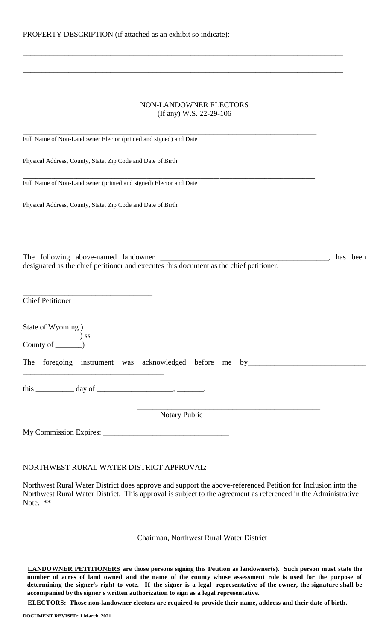| NON-LANDOWNER ELECTORS  |
|-------------------------|
| (If any) W.S. 22-29-106 |

\_\_\_\_\_\_\_\_\_\_\_\_\_\_\_\_\_\_\_\_\_\_\_\_\_\_\_\_\_\_\_\_\_\_\_\_\_\_\_\_\_\_\_\_\_\_\_\_\_\_\_\_\_\_\_\_\_\_\_\_\_\_\_\_\_\_\_\_\_\_\_\_\_\_\_\_\_\_\_\_\_\_\_\_

\_\_\_\_\_\_\_\_\_\_\_\_\_\_\_\_\_\_\_\_\_\_\_\_\_\_\_\_\_\_\_\_\_\_\_\_\_\_\_\_\_\_\_\_\_\_\_\_\_\_\_\_\_\_\_\_\_\_\_\_\_\_\_\_\_\_\_\_\_\_\_\_\_\_\_\_\_\_\_\_\_\_\_\_

| Full Name of Non-Landowner Elector (printed and signed) and Date                      |          |
|---------------------------------------------------------------------------------------|----------|
| Physical Address, County, State, Zip Code and Date of Birth                           |          |
| Full Name of Non-Landowner (printed and signed) Elector and Date                      |          |
| Physical Address, County, State, Zip Code and Date of Birth                           |          |
|                                                                                       |          |
|                                                                                       | has been |
| <b>Chief Petitioner</b>                                                               |          |
| State of Wyoming)<br>$\begin{array}{c}\n\text{County of} \quad\text{S}}\n\end{array}$ |          |
| The foregoing instrument was acknowledged before me by___________________________     |          |
| this $\_\_\_\_\_\_\$ day of $\_\_\_\_\_\_\_\_\_\_\_\$                                 |          |
| <u> 1989 - Johann John Stein, mars an deus Amerikaanse kommunister (</u>              |          |
|                                                                                       |          |

#### NORTHWEST RURAL WATER DISTRICT APPROVAL:

Northwest Rural Water District does approve and support the above-referenced Petition for Inclusion into the Northwest Rural Water District. This approval is subject to the agreement as referenced in the Administrative Note. \*\*

Chairman, Northwest Rural Water District

\_\_\_\_\_\_\_\_\_\_\_\_\_\_\_\_\_\_\_\_\_\_\_\_\_\_\_\_\_\_\_\_\_\_\_\_\_\_\_\_

**LANDOWNER PETITIONERS are those persons signing this Petition as landowner(s). Such person must state the number of acres of land owned and the name of the county whose assessment role is used for the purpose of determining the signer's right to vote. If the signer is a legal representative of the owner, the signature shall be accompanied by the signer's written authorization to sign as a legal representative.**

**ELECTORS: Those non-landowner electors are required to provide their name, address and their date of birth.**